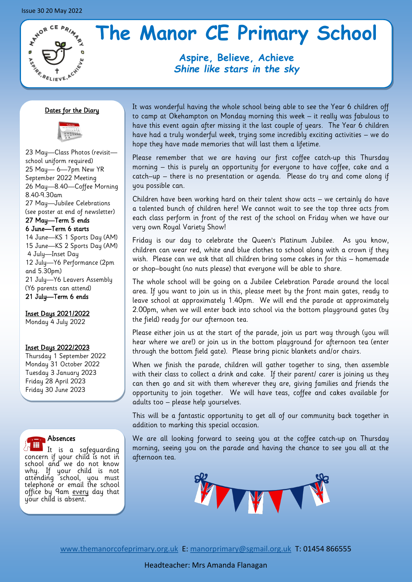# **ATADR CE PRIMARY ANSISKARIEVE**

# **The Manor CE Primary School**

**Aspire, Believe, Achieve** *Shine like stars in the sky*

#### Dates for the Diary



23 May—Class Photos (revisit school uniform required) 25 May— 6—7pm New YR September 2022 Meeting 26 May—8.40—Coffee Morning 8.40-9.30am 27 May—Jubilee Celebrations (see poster at end of newsletter) 27 May—Term 5 ends 6 June—Term 6 starts 14 June—KS 1 Sports Day (AM) 15 June—KS 2 Sports Day (AM) 4 July—Inset Day 12 July—Y6 Performance (2pm

and 5.30pm) 21 July—Y6 Leavers Assembly (Y6 parents can attend) 21 July—Term 6 ends

Inset Days 2021/2022 Monday 4 July 2022

#### Inset Days 2022/2023

Thursday 1 September 2022 Monday 31 October 2022 Tuesday 3 January 2023 Friday 28 April 2023 Friday 30 June 2023



It is a safeguarding concern if your child is not in school and we do not know why. If your child is not attending school, you must telephone or email the school office by 9am every day that your child is absent.

It was wonderful having the whole school being able to see the Year 6 children off to camp at Okehampton on Monday morning this week – it really was fabulous to have this event again after missing it the last couple of years. The Year 6 children have had a truly wonderful week, trying some incredibly exciting activities – we do hope they have made memories that will last them a lifetime.

Please remember that we are having our first coffee catch-up this Thursday morning – this is purely an opportunity for everyone to have coffee, cake and a catch–up – there is no presentation or agenda. Please do try and come along if you possible can.

Children have been working hard on their talent show acts – we certainly do have a talented bunch of children here! We cannot wait to see the top three acts from each class perform in front of the rest of the school on Friday when we have our very own Royal Variety Show!

Friday is our day to celebrate the Queen's Platinum Jubilee. As you know, children can wear red, white and blue clothes to school along with a crown if they wish. Please can we ask that all children bring some cakes in for this – homemade or shop–bought (no nuts please) that everyone will be able to share.

The whole school will be going on a Jubilee Celebration Parade around the local area. If you want to join us in this, please meet by the front main gates, ready to leave school at approximately 1.40pm. We will end the parade at approximately 2.00pm, when we will enter back into school via the bottom playground gates (by the field) ready for our afternoon tea.

Please either join us at the start of the parade, join us part way through (you will hear where we are!) or join us in the bottom playground for afternoon tea (enter through the bottom field gate). Please bring picnic blankets and/or chairs.

When we finish the parade, children will gather together to sing, then assemble with their class to collect a drink and cake. If their parent/ carer is joining us they can then go and sit with them wherever they are, giving families and friends the opportunity to join together. We will have teas, coffee and cakes available for adults too – please help yourselves.

This will be a fantastic opportunity to get all of our community back together in addition to marking this special occasion.

We are all looking forward to seeing you at the coffee catch-up on Thursday morning, seeing you on the parade and having the chance to see you all at the afternoon tea.



[www.themanorcofeprimary.org.uk](http://www.manorcofeprimary.org.uk) E: [manorprimary@sgmail.org.uk](mailto:manorprimary@sgmail.org.uk) T: 01454 866555